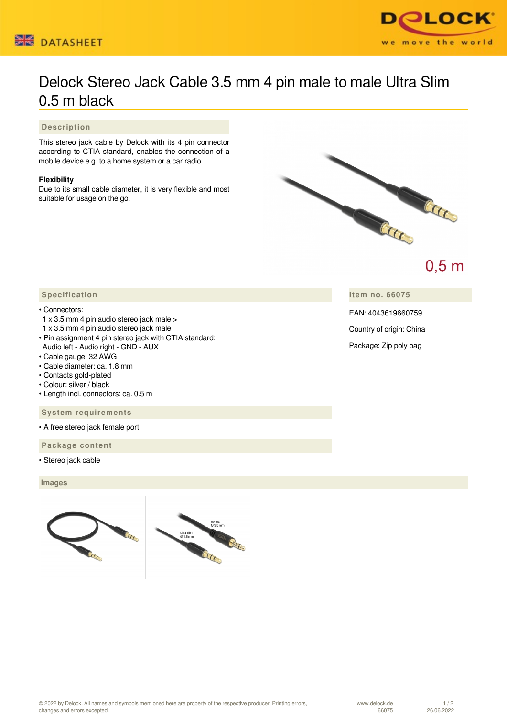



## Delock Stereo Jack Cable 3.5 mm 4 pin male to male Ultra Slim 0.5 m black

 **Description**

This stereo jack cable by Delock with its 4 pin connector according to CTIA standard, enables the connection of a mobile device e.g. to a home system or a car radio.

## **Flexibility**

Due to its small cable diameter, it is very flexible and most suitable for usage on the go.



 $0,5$  m

**Item no. 66075**

EAN: 4043619660759

Country of origin: China

Package: Zip poly bag

## **Specification**

## • Connectors:

- 1 x 3.5 mm 4 pin audio stereo jack male >
- 1 x 3.5 mm 4 pin audio stereo jack male
- Pin assignment 4 pin stereo jack with CTIA standard:
- Audio left Audio right GND AUX
- Cable gauge: 32 AWG
- Cable diameter: ca. 1.8 mm
- Contacts gold-plated
- Colour: silver / black
- Length incl. connectors: ca. 0.5 m

 **System requirements**

• A free stereo jack female port

 **Package content**

• Stereo jack cable

 **Images**